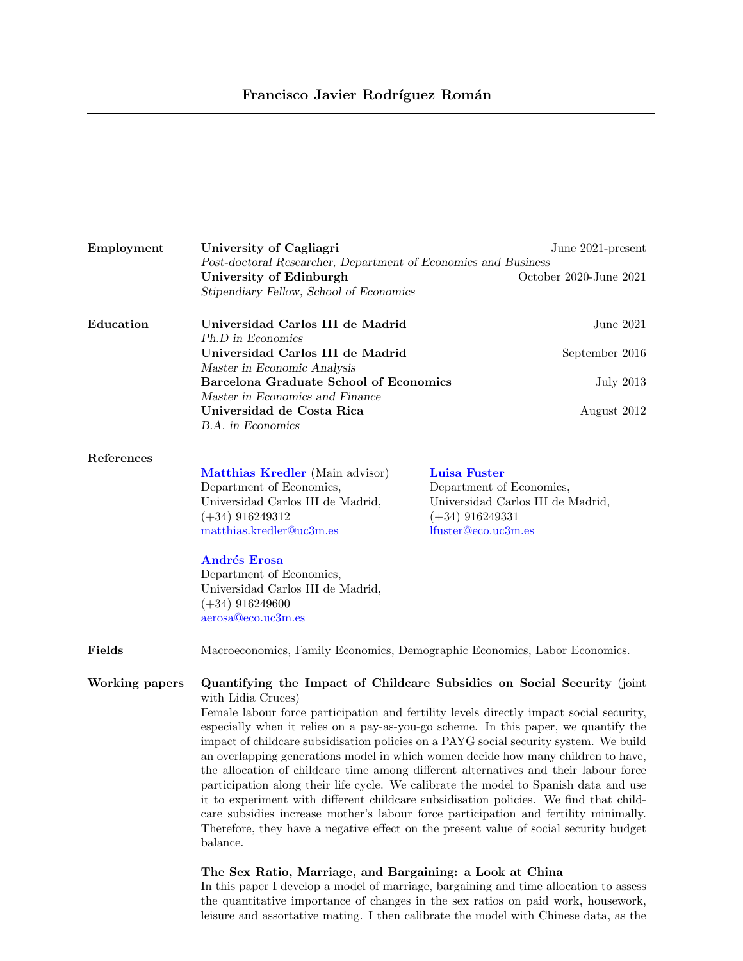| Employment            | University of Cagliagri<br>June 2021-present                                                                                                                                                                                                                                                                                                                                                                                                                                                                                                                                                                                                                                                                                                                                                                                                                                                                                                                                                    |                                                                                                                                  |
|-----------------------|-------------------------------------------------------------------------------------------------------------------------------------------------------------------------------------------------------------------------------------------------------------------------------------------------------------------------------------------------------------------------------------------------------------------------------------------------------------------------------------------------------------------------------------------------------------------------------------------------------------------------------------------------------------------------------------------------------------------------------------------------------------------------------------------------------------------------------------------------------------------------------------------------------------------------------------------------------------------------------------------------|----------------------------------------------------------------------------------------------------------------------------------|
|                       | Post-doctoral Researcher, Department of Economics and Business<br>University of Edinburgh<br>Stipendiary Fellow, School of Economics                                                                                                                                                                                                                                                                                                                                                                                                                                                                                                                                                                                                                                                                                                                                                                                                                                                            | October 2020-June 2021                                                                                                           |
|                       |                                                                                                                                                                                                                                                                                                                                                                                                                                                                                                                                                                                                                                                                                                                                                                                                                                                                                                                                                                                                 |                                                                                                                                  |
| Education             | Universidad Carlos III de Madrid<br>Ph.D in Economics                                                                                                                                                                                                                                                                                                                                                                                                                                                                                                                                                                                                                                                                                                                                                                                                                                                                                                                                           | June 2021                                                                                                                        |
|                       | Universidad Carlos III de Madrid<br>Master in Economic Analysis                                                                                                                                                                                                                                                                                                                                                                                                                                                                                                                                                                                                                                                                                                                                                                                                                                                                                                                                 | September 2016                                                                                                                   |
|                       | <b>Barcelona Graduate School of Economics</b>                                                                                                                                                                                                                                                                                                                                                                                                                                                                                                                                                                                                                                                                                                                                                                                                                                                                                                                                                   | <b>July 2013</b>                                                                                                                 |
|                       | Master in Economics and Finance<br>Universidad de Costa Rica<br><b>B.A.</b> in Economics                                                                                                                                                                                                                                                                                                                                                                                                                                                                                                                                                                                                                                                                                                                                                                                                                                                                                                        | August 2012                                                                                                                      |
|                       |                                                                                                                                                                                                                                                                                                                                                                                                                                                                                                                                                                                                                                                                                                                                                                                                                                                                                                                                                                                                 |                                                                                                                                  |
| References            | Matthias Kredler (Main advisor)<br>Department of Economics,<br>Universidad Carlos III de Madrid,<br>$(+34)$ 916249312<br>matthias.kredler@uc3m.es<br><b>Andrés Erosa</b><br>Department of Economics,<br>Universidad Carlos III de Madrid,<br>$(+34)$ 916249600<br>aerosa@eco.uc3m.es                                                                                                                                                                                                                                                                                                                                                                                                                                                                                                                                                                                                                                                                                                            | <b>Luisa Fuster</b><br>Department of Economics,<br>Universidad Carlos III de Madrid,<br>$(+34)$ 916249331<br>lfuster@eco.uc3m.es |
| Fields                | Macroeconomics, Family Economics, Demographic Economics, Labor Economics.                                                                                                                                                                                                                                                                                                                                                                                                                                                                                                                                                                                                                                                                                                                                                                                                                                                                                                                       |                                                                                                                                  |
| <b>Working papers</b> | Quantifying the Impact of Childcare Subsidies on Social Security (joint<br>with Lidia Cruces)<br>Female labour force participation and fertility levels directly impact social security,<br>especially when it relies on a pay-as-you-go scheme. In this paper, we quantify the<br>impact of childcare subsidisation policies on a PAYG social security system. We build<br>an overlapping generations model in which women decide how many children to have,<br>the allocation of childcare time among different alternatives and their labour force<br>participation along their life cycle. We calibrate the model to Spanish data and use<br>it to experiment with different childcare subsidisation policies. We find that child-<br>care subsidies increase mother's labour force participation and fertility minimally.<br>Therefore, they have a negative effect on the present value of social security budget<br>balance.<br>The Sex Ratio, Marriage, and Bargaining: a Look at China |                                                                                                                                  |

In this paper I develop a model of marriage, bargaining and time allocation to assess the quantitative importance of changes in the sex ratios on paid work, housework, leisure and assortative mating. I then calibrate the model with Chinese data, as the